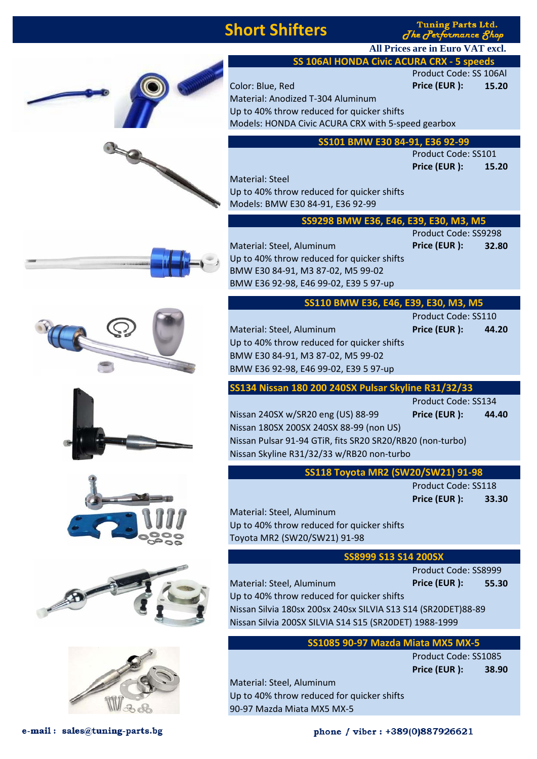## **Short Shifters**

Material: Anodized T-304 Aluminum

**Tuning Parts Ltd.** The Performance 8h

Product Code: SS 106Al

**Price (EUR ): 15.20**

**All Prices are in Euro VAT excl.**

**SS 106Al HONDA Civic ACURA CRX - 5 speeds**

Color: Blue, Red **Price (EUR ): 15.20**

















| Models: HONDA Civic ACURA CRX with 5-speed gearbox |                                                                         |
|----------------------------------------------------|-------------------------------------------------------------------------|
|                                                    |                                                                         |
|                                                    |                                                                         |
| Product Code: SS101                                |                                                                         |
| Price (EUR):                                       | 15.20                                                                   |
|                                                    |                                                                         |
|                                                    |                                                                         |
|                                                    |                                                                         |
|                                                    |                                                                         |
| Product Code: SS9298                               |                                                                         |
| Price (EUR):                                       | 32.80                                                                   |
|                                                    |                                                                         |
|                                                    |                                                                         |
|                                                    |                                                                         |
| F39.<br>FRN                                        |                                                                         |
|                                                    | SS101 BMW E30 84-91, E36 92-99<br>SS9298 BMW E36, E46, E39, E30, M3, M5 |

| SS110 BMW E36, E46, E39, E30, M3, M5 |  |  |  |
|--------------------------------------|--|--|--|
|--------------------------------------|--|--|--|

Material: Steel, Aluminum **Price (EUR ): 44.20** Up to 40% throw reduced for quicker shifts BMW E30 84-91, M3 87-02, M5 99-02 BMW E36 92-98, E46 99-02, E39 5 97-up

**SS134 Nissan 180 200 240SX Pulsar Skyline R31/32/33**

Product Code: SS134

Product Code: SS110

Nissan 240SX w/SR20 eng (US) 88-99 **Price (EUR ): 44.40** Nissan 180SX 200SX 240SX 88-99 (non US) Nissan Pulsar 91-94 GTiR, fits SR20 SR20/RB20 (non-turbo) Nissan Skyline R31/32/33 w/RB20 non-turbo

| SS118 Toyota MR2 (SW20/SW21) 91-98 |  |  |  |
|------------------------------------|--|--|--|
|------------------------------------|--|--|--|

Product Code: SS118 **Price (EUR ): 33.30**

Material: Steel, Aluminum Up to 40% throw reduced for quicker shifts Toyota MR2 (SW20/SW21) 91-98

#### **SS8999 S13 S14 200SX**

Product Code: SS8999 Material: Steel, Aluminum **Price (EUR ): 55.30** Up to 40% throw reduced for quicker shifts Nissan Silvia 180sx 200sx 240sx SILVIA S13 S14 (SR20DET)88-89 Nissan Silvia 200SX SILVIA S14 S15 (SR20DET) 1988-1999

### **SS1085 90-97 Mazda Miata MX5 MX-5**

Product Code: SS1085 **Price (EUR ): 38.90**

Material: Steel, Aluminum Up to 40% throw reduced for quicker shifts 90-97 Mazda Miata MX5 MX-5

e-mail: sales@tuning-parts.bg

phone / viber : +389(0)887926621